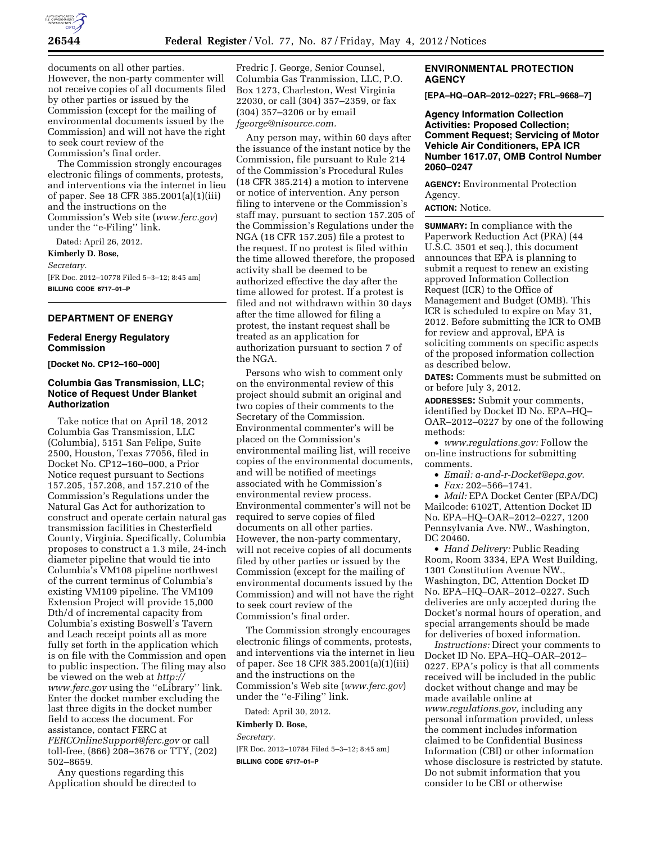

documents on all other parties. However, the non-party commenter will not receive copies of all documents filed by other parties or issued by the Commission (except for the mailing of environmental documents issued by the Commission) and will not have the right to seek court review of the Commission's final order.

The Commission strongly encourages electronic filings of comments, protests, and interventions via the internet in lieu of paper. See 18 CFR 385.2001(a)(1)(iii) and the instructions on the Commission's Web site (*[www.ferc.gov](http://www.ferc.gov)*) under the ''e-Filing'' link.

Dated: April 26, 2012.

**Kimberly D. Bose,** 

*Secretary.* 

[FR Doc. 2012–10778 Filed 5–3–12; 8:45 am] **BILLING CODE 6717–01–P** 

# **DEPARTMENT OF ENERGY**

## **Federal Energy Regulatory Commission**

**[Docket No. CP12–160–000]** 

# **Columbia Gas Transmission, LLC; Notice of Request Under Blanket Authorization**

Take notice that on April 18, 2012 Columbia Gas Transmission, LLC (Columbia), 5151 San Felipe, Suite 2500, Houston, Texas 77056, filed in Docket No. CP12–160–000, a Prior Notice request pursuant to Sections 157.205, 157.208, and 157.210 of the Commission's Regulations under the Natural Gas Act for authorization to construct and operate certain natural gas transmission facilities in Chesterfield County, Virginia. Specifically, Columbia proposes to construct a 1.3 mile, 24-inch diameter pipeline that would tie into Columbia's VM108 pipeline northwest of the current terminus of Columbia's existing VM109 pipeline. The VM109 Extension Project will provide 15,000 Dth/d of incremental capacity from Columbia's existing Boswell's Tavern and Leach receipt points all as more fully set forth in the application which is on file with the Commission and open to public inspection. The filing may also be viewed on the web at *[http://](http://www.ferc.gov)  [www.ferc.gov](http://www.ferc.gov)* using the ''eLibrary'' link. Enter the docket number excluding the last three digits in the docket number field to access the document. For assistance, contact FERC at *[FERCOnlineSupport@ferc.gov](mailto:FERCOnlineSupport@ferc.gov)* or call toll-free, (866) 208–3676 or TTY, (202) 502–8659.

Any questions regarding this Application should be directed to

Fredric J. George, Senior Counsel, Columbia Gas Tranmission, LLC, P.O. Box 1273, Charleston, West Virginia 22030, or call (304) 357–2359, or fax (304) 357–3206 or by email *[fgeorge@nisource.com.](mailto:fgeorge@nisource.com)* 

Any person may, within 60 days after the issuance of the instant notice by the Commission, file pursuant to Rule 214 of the Commission's Procedural Rules (18 CFR 385.214) a motion to intervene or notice of intervention. Any person filing to intervene or the Commission's staff may, pursuant to section 157.205 of the Commission's Regulations under the NGA (18 CFR 157.205) file a protest to the request. If no protest is filed within the time allowed therefore, the proposed activity shall be deemed to be authorized effective the day after the time allowed for protest. If a protest is filed and not withdrawn within 30 days after the time allowed for filing a protest, the instant request shall be treated as an application for authorization pursuant to section 7 of the NGA.

Persons who wish to comment only on the environmental review of this project should submit an original and two copies of their comments to the Secretary of the Commission. Environmental commenter's will be placed on the Commission's environmental mailing list, will receive copies of the environmental documents, and will be notified of meetings associated with he Commission's environmental review process. Environmental commenter's will not be required to serve copies of filed documents on all other parties. However, the non-party commentary, will not receive copies of all documents filed by other parties or issued by the Commission (except for the mailing of environmental documents issued by the Commission) and will not have the right to seek court review of the Commission's final order.

The Commission strongly encourages electronic filings of comments, protests, and interventions via the internet in lieu of paper. See 18 CFR 385.2001(a)(1)(iii) and the instructions on the Commission's Web site (*[www.ferc.gov](http://www.ferc.gov)*) under the ''e-Filing'' link.

Dated: April 30, 2012.

# **Kimberly D. Bose,**

*Secretary.* 

[FR Doc. 2012–10784 Filed 5–3–12; 8:45 am] **BILLING CODE 6717–01–P** 

# **ENVIRONMENTAL PROTECTION AGENCY**

**[EPA–HQ–OAR–2012–0227; FRL–9668–7]** 

**Agency Information Collection Activities: Proposed Collection; Comment Request; Servicing of Motor Vehicle Air Conditioners, EPA ICR Number 1617.07, OMB Control Number 2060–0247** 

**AGENCY:** Environmental Protection Agency.

# **ACTION:** Notice.

**SUMMARY:** In compliance with the Paperwork Reduction Act (PRA) (44 U.S.C. 3501 et seq.), this document announces that EPA is planning to submit a request to renew an existing approved Information Collection Request (ICR) to the Office of Management and Budget (OMB). This ICR is scheduled to expire on May 31, 2012. Before submitting the ICR to OMB for review and approval, EPA is soliciting comments on specific aspects of the proposed information collection as described below.

**DATES:** Comments must be submitted on or before July 3, 2012.

**ADDRESSES:** Submit your comments, identified by Docket ID No. EPA–HQ– OAR–2012–0227 by one of the following methods:

• *[www.regulations.gov:](http://www.regulations.gov)* Follow the on-line instructions for submitting comments.

• *Email: [a-and-r-Docket@epa.gov](mailto:a-and-r-Docket@epa.gov)*.

• *Fax:* 202–566–1741.

• *Mail:* EPA Docket Center (EPA/DC) Mailcode: 6102T, Attention Docket ID No. EPA–HQ–OAR–2012–0227, 1200 Pennsylvania Ave. NW., Washington, DC 20460.

• *Hand Delivery:* Public Reading Room, Room 3334, EPA West Building, 1301 Constitution Avenue NW., Washington, DC, Attention Docket ID No. EPA–HQ–OAR–2012–0227. Such deliveries are only accepted during the Docket's normal hours of operation, and special arrangements should be made for deliveries of boxed information.

*Instructions:* Direct your comments to Docket ID No. EPA–HQ–OAR–2012– 0227. EPA's policy is that all comments received will be included in the public docket without change and may be made available online at *[www.regulations.gov,](http://www.regulations.gov)* including any personal information provided, unless the comment includes information claimed to be Confidential Business Information (CBI) or other information whose disclosure is restricted by statute. Do not submit information that you consider to be CBI or otherwise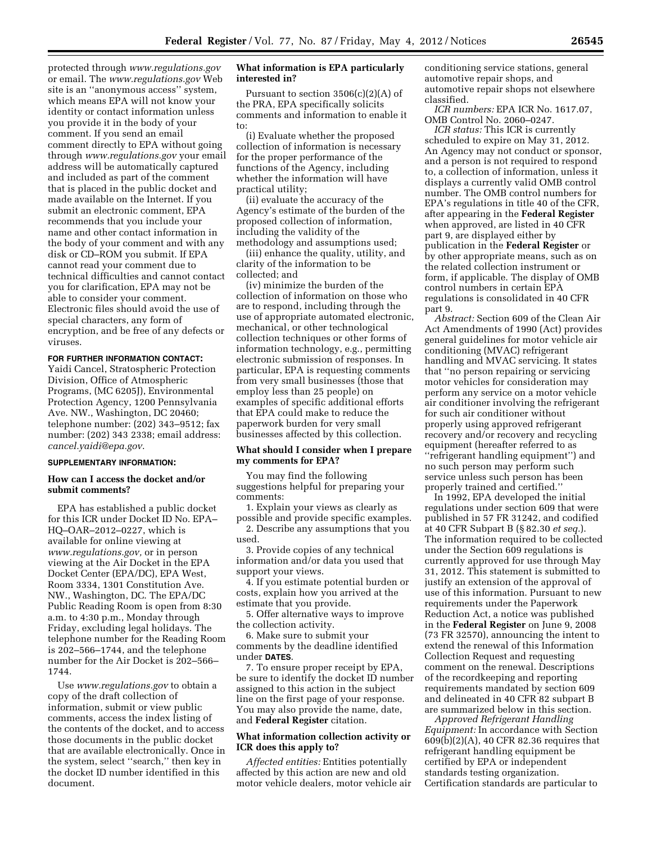protected through *[www.regulations.gov](http://www.regulations.gov)*  or email. The *[www.regulations.gov](http://www.regulations.gov)* Web site is an ''anonymous access'' system, which means EPA will not know your identity or contact information unless you provide it in the body of your comment. If you send an email comment directly to EPA without going through *[www.regulations.gov](http://www.regulations.gov)* your email address will be automatically captured and included as part of the comment that is placed in the public docket and made available on the Internet. If you submit an electronic comment, EPA recommends that you include your name and other contact information in the body of your comment and with any disk or CD–ROM you submit. If EPA cannot read your comment due to technical difficulties and cannot contact you for clarification, EPA may not be able to consider your comment. Electronic files should avoid the use of special characters, any form of encryption, and be free of any defects or viruses.

#### **FOR FURTHER INFORMATION CONTACT:**

Yaidi Cancel, Stratospheric Protection Division, Office of Atmospheric Programs, (MC 6205J), Environmental Protection Agency, 1200 Pennsylvania Ave. NW., Washington, DC 20460; telephone number: (202) 343–9512; fax number: (202) 343 2338; email address: *[cancel.yaidi@epa.gov](mailto:cancel.yaidi@epa.gov)*.

## **SUPPLEMENTARY INFORMATION:**

# **How can I access the docket and/or submit comments?**

EPA has established a public docket for this ICR under Docket ID No. EPA– HQ–OAR–2012–0227, which is available for online viewing at *[www.regulations.gov,](http://www.regulations.gov)* or in person viewing at the Air Docket in the EPA Docket Center (EPA/DC), EPA West, Room 3334, 1301 Constitution Ave. NW., Washington, DC. The EPA/DC Public Reading Room is open from 8:30 a.m. to 4:30 p.m., Monday through Friday, excluding legal holidays. The telephone number for the Reading Room is 202–566–1744, and the telephone number for the Air Docket is 202–566– 1744.

Use *[www.regulations.gov](http://www.regulations.gov)* to obtain a copy of the draft collection of information, submit or view public comments, access the index listing of the contents of the docket, and to access those documents in the public docket that are available electronically. Once in the system, select ''search,'' then key in the docket ID number identified in this document.

## **What information is EPA particularly interested in?**

Pursuant to section  $3506(c)(2)(A)$  of the PRA, EPA specifically solicits comments and information to enable it to:

(i) Evaluate whether the proposed collection of information is necessary for the proper performance of the functions of the Agency, including whether the information will have practical utility;

(ii) evaluate the accuracy of the Agency's estimate of the burden of the proposed collection of information, including the validity of the methodology and assumptions used;

(iii) enhance the quality, utility, and clarity of the information to be collected; and

(iv) minimize the burden of the collection of information on those who are to respond, including through the use of appropriate automated electronic, mechanical, or other technological collection techniques or other forms of information technology, e.g., permitting electronic submission of responses. In particular, EPA is requesting comments from very small businesses (those that employ less than 25 people) on examples of specific additional efforts that EPA could make to reduce the paperwork burden for very small businesses affected by this collection.

# **What should I consider when I prepare my comments for EPA?**

You may find the following suggestions helpful for preparing your comments:

1. Explain your views as clearly as possible and provide specific examples.

2. Describe any assumptions that you used.

3. Provide copies of any technical information and/or data you used that support your views.

4. If you estimate potential burden or costs, explain how you arrived at the estimate that you provide.

5. Offer alternative ways to improve the collection activity.

6. Make sure to submit your comments by the deadline identified under **DATES**.

7. To ensure proper receipt by EPA, be sure to identify the docket ID number assigned to this action in the subject line on the first page of your response. You may also provide the name, date, and **Federal Register** citation.

## **What information collection activity or ICR does this apply to?**

*Affected entities:* Entities potentially affected by this action are new and old motor vehicle dealers, motor vehicle air conditioning service stations, general automotive repair shops, and automotive repair shops not elsewhere classified.

*ICR numbers:* EPA ICR No. 1617.07, OMB Control No. 2060–0247.

*ICR status:* This ICR is currently scheduled to expire on May 31, 2012. An Agency may not conduct or sponsor, and a person is not required to respond to, a collection of information, unless it displays a currently valid OMB control number. The OMB control numbers for EPA's regulations in title 40 of the CFR, after appearing in the **Federal Register**  when approved, are listed in 40 CFR part 9, are displayed either by publication in the **Federal Register** or by other appropriate means, such as on the related collection instrument or form, if applicable. The display of OMB control numbers in certain EPA regulations is consolidated in 40 CFR part 9.

*Abstract:* Section 609 of the Clean Air Act Amendments of 1990 (Act) provides general guidelines for motor vehicle air conditioning (MVAC) refrigerant handling and MVAC servicing. It states that ''no person repairing or servicing motor vehicles for consideration may perform any service on a motor vehicle air conditioner involving the refrigerant for such air conditioner without properly using approved refrigerant recovery and/or recovery and recycling equipment (hereafter referred to as ''refrigerant handling equipment'') and no such person may perform such service unless such person has been properly trained and certified.''

In 1992, EPA developed the initial regulations under section 609 that were published in 57 FR 31242, and codified at 40 CFR Subpart B (§ 82.30 *et seq.*). The information required to be collected under the Section 609 regulations is currently approved for use through May 31, 2012. This statement is submitted to justify an extension of the approval of use of this information. Pursuant to new requirements under the Paperwork Reduction Act, a notice was published in the **Federal Register** on June 9, 2008 (73 FR 32570), announcing the intent to extend the renewal of this Information Collection Request and requesting comment on the renewal. Descriptions of the recordkeeping and reporting requirements mandated by section 609 and delineated in 40 CFR 82 subpart B are summarized below in this section.

*Approved Refrigerant Handling Equipment:* In accordance with Section 609(b)(2)(A), 40 CFR 82.36 requires that refrigerant handling equipment be certified by EPA or independent standards testing organization. Certification standards are particular to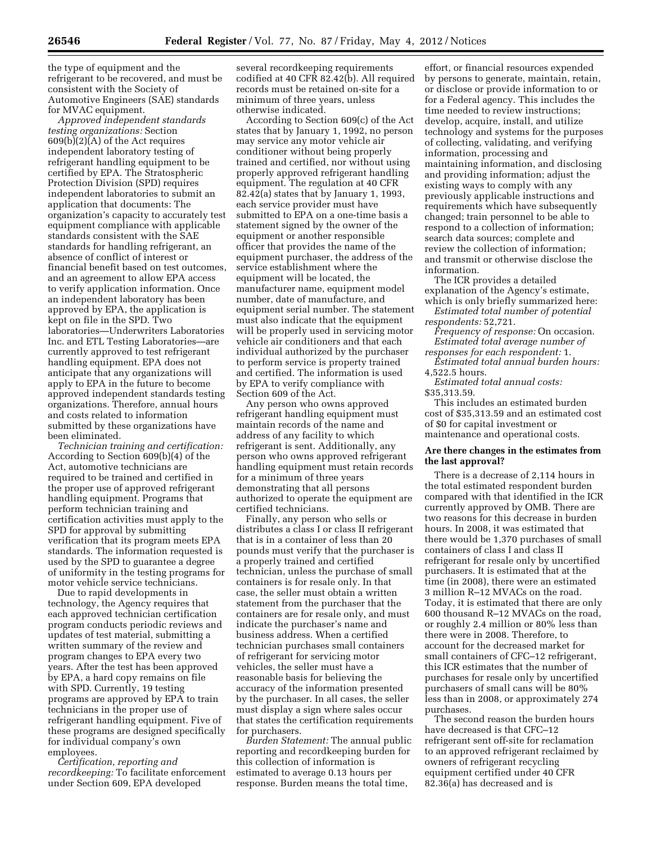the type of equipment and the refrigerant to be recovered, and must be consistent with the Society of Automotive Engineers (SAE) standards for MVAC equipment.

*Approved independent standards testing organizations:* Section 609(b)(2)(A) of the Act requires independent laboratory testing of refrigerant handling equipment to be certified by EPA. The Stratospheric Protection Division (SPD) requires independent laboratories to submit an application that documents: The organization's capacity to accurately test equipment compliance with applicable standards consistent with the SAE standards for handling refrigerant, an absence of conflict of interest or financial benefit based on test outcomes, and an agreement to allow EPA access to verify application information. Once an independent laboratory has been approved by EPA, the application is kept on file in the SPD. Two laboratories—Underwriters Laboratories Inc. and ETL Testing Laboratories—are currently approved to test refrigerant handling equipment. EPA does not anticipate that any organizations will apply to EPA in the future to become approved independent standards testing organizations. Therefore, annual hours and costs related to information submitted by these organizations have been eliminated.

*Technician training and certification:*  According to Section 609(b)(4) of the Act, automotive technicians are required to be trained and certified in the proper use of approved refrigerant handling equipment. Programs that perform technician training and certification activities must apply to the SPD for approval by submitting verification that its program meets EPA standards. The information requested is used by the SPD to guarantee a degree of uniformity in the testing programs for motor vehicle service technicians.

Due to rapid developments in technology, the Agency requires that each approved technician certification program conducts periodic reviews and updates of test material, submitting a written summary of the review and program changes to EPA every two years. After the test has been approved by EPA, a hard copy remains on file with SPD. Currently, 19 testing programs are approved by EPA to train technicians in the proper use of refrigerant handling equipment. Five of these programs are designed specifically for individual company's own employees.

*Certification, reporting and recordkeeping:* To facilitate enforcement under Section 609, EPA developed

several recordkeeping requirements codified at 40 CFR 82.42(b). All required records must be retained on-site for a minimum of three years, unless otherwise indicated.

According to Section 609(c) of the Act states that by January 1, 1992, no person may service any motor vehicle air conditioner without being properly trained and certified, nor without using properly approved refrigerant handling equipment. The regulation at 40 CFR 82.42(a) states that by January 1, 1993, each service provider must have submitted to EPA on a one-time basis a statement signed by the owner of the equipment or another responsible officer that provides the name of the equipment purchaser, the address of the service establishment where the equipment will be located, the manufacturer name, equipment model number, date of manufacture, and equipment serial number. The statement must also indicate that the equipment will be properly used in servicing motor vehicle air conditioners and that each individual authorized by the purchaser to perform service is property trained and certified. The information is used by EPA to verify compliance with Section 609 of the Act.

Any person who owns approved refrigerant handling equipment must maintain records of the name and address of any facility to which refrigerant is sent. Additionally, any person who owns approved refrigerant handling equipment must retain records for a minimum of three years demonstrating that all persons authorized to operate the equipment are certified technicians.

Finally, any person who sells or distributes a class I or class II refrigerant that is in a container of less than 20 pounds must verify that the purchaser is a properly trained and certified technician, unless the purchase of small containers is for resale only. In that case, the seller must obtain a written statement from the purchaser that the containers are for resale only, and must indicate the purchaser's name and business address. When a certified technician purchases small containers of refrigerant for servicing motor vehicles, the seller must have a reasonable basis for believing the accuracy of the information presented by the purchaser. In all cases, the seller must display a sign where sales occur that states the certification requirements for purchasers.

*Burden Statement:* The annual public reporting and recordkeeping burden for this collection of information is estimated to average 0.13 hours per response. Burden means the total time,

effort, or financial resources expended by persons to generate, maintain, retain, or disclose or provide information to or for a Federal agency. This includes the time needed to review instructions; develop, acquire, install, and utilize technology and systems for the purposes of collecting, validating, and verifying information, processing and maintaining information, and disclosing and providing information; adjust the existing ways to comply with any previously applicable instructions and requirements which have subsequently changed; train personnel to be able to respond to a collection of information; search data sources; complete and review the collection of information; and transmit or otherwise disclose the information.

The ICR provides a detailed explanation of the Agency's estimate,

which is only briefly summarized here: *Estimated total number of potential respondents:* 52,721.

*Frequency of response:* On occasion. *Estimated total average number of* 

*responses for each respondent:* 1. *Estimated total annual burden hours:*  4,522.5 hours.

*Estimated total annual costs:*  \$35,313.59.

This includes an estimated burden cost of \$35,313.59 and an estimated cost of \$0 for capital investment or maintenance and operational costs.

# **Are there changes in the estimates from the last approval?**

There is a decrease of 2,114 hours in the total estimated respondent burden compared with that identified in the ICR currently approved by OMB. There are two reasons for this decrease in burden hours. In 2008, it was estimated that there would be 1,370 purchases of small containers of class I and class II refrigerant for resale only by uncertified purchasers. It is estimated that at the time (in 2008), there were an estimated 3 million R–12 MVACs on the road. Today, it is estimated that there are only 600 thousand R–12 MVACs on the road, or roughly 2.4 million or 80% less than there were in 2008. Therefore, to account for the decreased market for small containers of CFC–12 refrigerant, this ICR estimates that the number of purchases for resale only by uncertified purchasers of small cans will be 80% less than in 2008, or approximately 274 purchases.

The second reason the burden hours have decreased is that CFC–12 refrigerant sent off-site for reclamation to an approved refrigerant reclaimed by owners of refrigerant recycling equipment certified under 40 CFR 82.36(a) has decreased and is